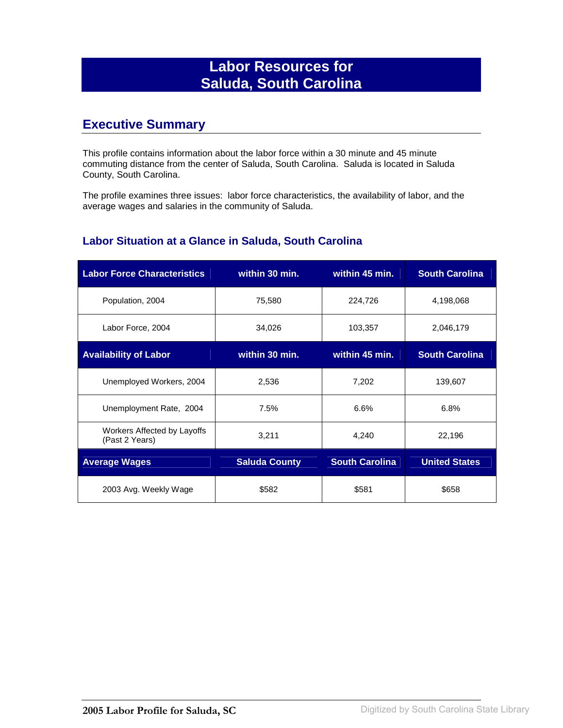## **Labor Resources for Saluda, South Carolina**

## **Executive Summary**

This profile contains information about the labor force within a 30 minute and 45 minute commuting distance from the center of Saluda, South Carolina. Saluda is located in Saluda County, South Carolina.

The profile examines three issues: labor force characteristics, the availability of labor, and the average wages and salaries in the community of Saluda.

#### **Labor Situation at a Glance in Saluda, South Carolina**

| <b>Labor Force Characteristics</b>            | within 30 min.       | within 45 min.        | <b>South Carolina</b> |
|-----------------------------------------------|----------------------|-----------------------|-----------------------|
| Population, 2004                              | 75,580               | 224,726               | 4,198,068             |
| Labor Force, 2004                             | 34,026               | 103,357               | 2,046,179             |
| <b>Availability of Labor</b>                  | within 30 min.       | within 45 min.        | <b>South Carolina</b> |
| Unemployed Workers, 2004                      | 2,536                | 7,202                 | 139,607               |
| Unemployment Rate, 2004                       | 7.5%                 | 6.6%                  | 6.8%                  |
| Workers Affected by Layoffs<br>(Past 2 Years) | 3,211                | 4,240                 | 22,196                |
| <b>Average Wages</b>                          | <b>Saluda County</b> | <b>South Carolina</b> | <b>United States</b>  |
| 2003 Avg. Weekly Wage                         | \$582                | \$581                 | \$658                 |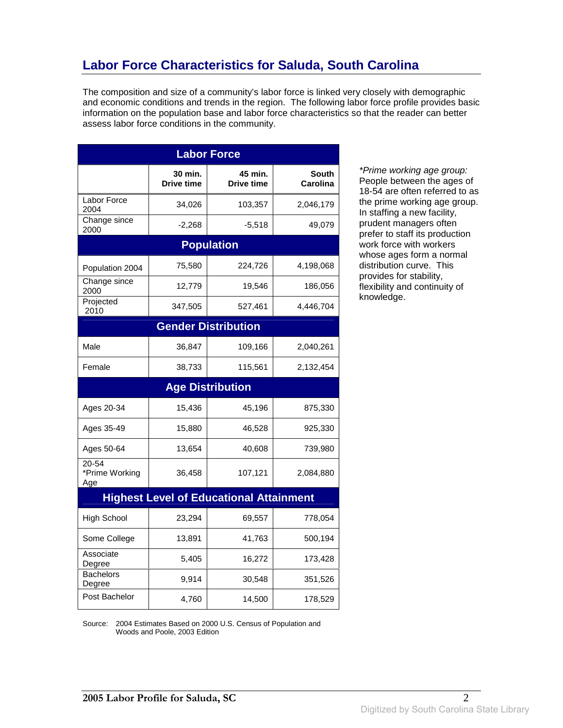# **Labor Force Characteristics for Saluda, South Carolina**

The composition and size of a community's labor force is linked very closely with demographic and economic conditions and trends in the region. The following labor force profile provides basic information on the population base and labor force characteristics so that the reader can better assess labor force conditions in the community.

| <b>Labor Force</b>             |                              |                                                |                                 |
|--------------------------------|------------------------------|------------------------------------------------|---------------------------------|
|                                | 30 min.<br><b>Drive time</b> | 45 min.<br><b>Drive time</b>                   | <b>South</b><br><b>Carolina</b> |
| Labor Force<br>2004            | 34,026                       | 103,357                                        | 2,046,179                       |
| Change since<br>2000           | $-2,268$                     | $-5,518$                                       | 49,079                          |
|                                |                              | <b>Population</b>                              |                                 |
| Population 2004                | 75,580                       | 224,726                                        | 4,198,068                       |
| Change since<br>2000           | 12,779                       | 19,546                                         | 186,056                         |
| Projected<br>2010              | 347,505                      | 527,461                                        | 4,446,704                       |
|                                |                              | <b>Gender Distribution</b>                     |                                 |
| Male                           | 36,847                       | 109,166                                        | 2,040,261                       |
| Female                         | 38,733                       | 115,561                                        | 2,132,454                       |
|                                |                              | <b>Age Distribution</b>                        |                                 |
| Ages 20-34                     | 15,436                       | 45,196                                         | 875,330                         |
| Ages 35-49                     | 15,880                       | 46,528                                         | 925,330                         |
| Ages 50-64                     | 13,654                       | 40,608                                         | 739,980                         |
| 20-54<br>*Prime Working<br>Age | 36,458                       | 107,121                                        | 2,084,880                       |
|                                |                              | <b>Highest Level of Educational Attainment</b> |                                 |
| <b>High School</b>             | 23,294                       | 69,557                                         | 778,054                         |
| Some College                   | 13,891                       | 41,763                                         | 500,194                         |
| Associate<br>Degree            | 5,405                        | 16,272                                         | 173,428                         |
|                                |                              |                                                |                                 |
| <b>Bachelors</b><br>Degree     | 9,914                        | 30,548                                         | 351,526                         |

\*Prime working age group: People between the ages of 18-54 are often referred to as the prime working age group. In staffing a new facility, prudent managers often prefer to staff its production work force with workers whose ages form a normal distribution curve. This provides for stability, flexibility and continuity of knowledge.

Source: 2004 Estimates Based on 2000 U.S. Census of Population and Woods and Poole, 2003 Edition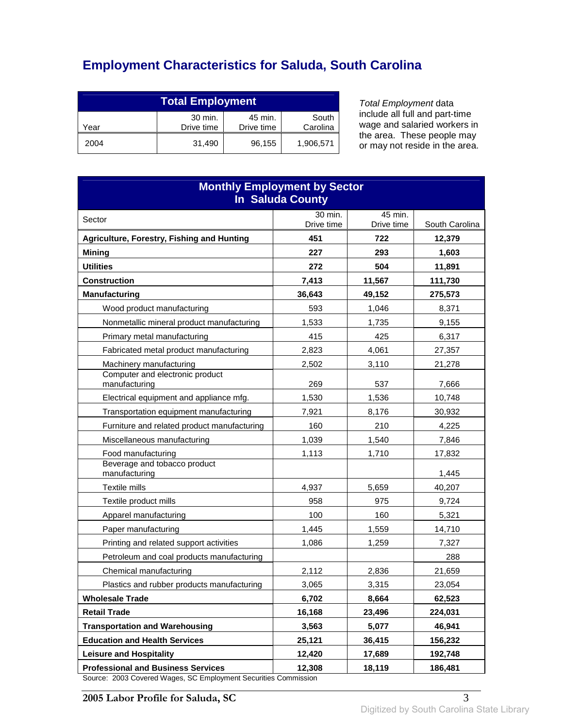# **Employment Characteristics for Saluda, South Carolina**

| <b>Total Employment</b>                                                     |        |        |           |
|-----------------------------------------------------------------------------|--------|--------|-----------|
| 30 min.<br>South<br>45 min.<br>Drive time<br>Carolina<br>Drive time<br>Year |        |        |           |
| 2004                                                                        | 31.490 | 96,155 | 1,906,571 |

Total Employment data include all full and part-time wage and salaried workers in the area. These people may or may not reside in the area.

| <b>Monthly Employment by Sector</b><br><b>In Saluda County</b>                                           |            |            |                   |  |
|----------------------------------------------------------------------------------------------------------|------------|------------|-------------------|--|
| Sector                                                                                                   | 30 min.    | 45 min.    |                   |  |
|                                                                                                          | Drive time | Drive time | South Carolina    |  |
| Agriculture, Forestry, Fishing and Hunting                                                               | 451<br>227 | 722<br>293 | 12,379            |  |
| <b>Mining</b><br><b>Utilities</b>                                                                        | 272        | 504        | 1,603             |  |
| <b>Construction</b>                                                                                      | 7,413      | 11,567     | 11,891<br>111,730 |  |
| <b>Manufacturing</b>                                                                                     | 36,643     | 49,152     | 275,573           |  |
| Wood product manufacturing                                                                               | 593        | 1,046      | 8,371             |  |
| Nonmetallic mineral product manufacturing                                                                | 1,533      | 1,735      | 9,155             |  |
| Primary metal manufacturing                                                                              | 415        | 425        | 6,317             |  |
| Fabricated metal product manufacturing                                                                   | 2,823      | 4,061      | 27,357            |  |
| Machinery manufacturing                                                                                  | 2,502      | 3,110      | 21,278            |  |
| Computer and electronic product<br>manufacturing                                                         | 269        | 537        | 7,666             |  |
| Electrical equipment and appliance mfg.                                                                  | 1,530      | 1,536      | 10,748            |  |
| Transportation equipment manufacturing                                                                   | 7,921      | 8,176      | 30,932            |  |
| Furniture and related product manufacturing                                                              | 160        | 210        | 4,225             |  |
| Miscellaneous manufacturing                                                                              | 1,039      | 1,540      | 7,846             |  |
| Food manufacturing                                                                                       | 1,113      | 1,710      | 17,832            |  |
| Beverage and tobacco product<br>manufacturing                                                            |            |            | 1,445             |  |
| Textile mills                                                                                            | 4,937      | 5,659      | 40,207            |  |
| Textile product mills                                                                                    | 958        | 975        | 9,724             |  |
| Apparel manufacturing                                                                                    | 100        | 160        | 5,321             |  |
| Paper manufacturing                                                                                      | 1,445      | 1,559      | 14,710            |  |
| Printing and related support activities                                                                  | 1,086      | 1,259      | 7,327             |  |
| Petroleum and coal products manufacturing                                                                |            |            | 288               |  |
| Chemical manufacturing                                                                                   | 2,112      | 2,836      | 21,659            |  |
| Plastics and rubber products manufacturing                                                               | 3,065      | 3,315      | 23,054            |  |
| <b>Wholesale Trade</b>                                                                                   | 6,702      | 8,664      | 62,523            |  |
| <b>Retail Trade</b>                                                                                      | 16,168     | 23,496     | 224,031           |  |
| <b>Transportation and Warehousing</b>                                                                    | 3,563      | 5,077      | 46,941            |  |
| <b>Education and Health Services</b>                                                                     | 25,121     | 36,415     | 156,232           |  |
| <b>Leisure and Hospitality</b>                                                                           | 12,420     | 17,689     | 192,748           |  |
| <b>Professional and Business Services</b><br>co: 2003 Covered Wages, SC Employment Securities Commission | 12,308     | 18,119     | 186,481           |  |

Source: 2003 Covered Wages, SC Employment Securities Commission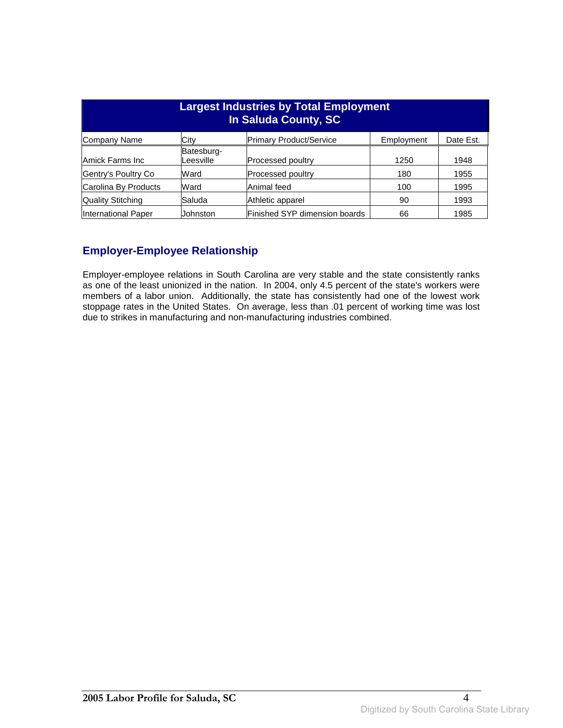| <b>Largest Industries by Total Employment</b><br>In Saluda County, SC |                         |                                |            |           |
|-----------------------------------------------------------------------|-------------------------|--------------------------------|------------|-----------|
| Company Name                                                          | Citv                    | <b>Primary Product/Service</b> | Employment | Date Est. |
| Amick Farms Inc                                                       | Batesburg-<br>Leesville | Processed poultry              | 1250       | 1948      |
| Gentry's Poultry Co                                                   | Ward                    | <b>Processed poultry</b>       | 180        | 1955      |
| Carolina By Products                                                  | Ward                    | Animal feed                    | 100        | 1995      |
| Quality Stitching                                                     | Saluda                  | Athletic apparel               | 90         | 1993      |
| International Paper                                                   | <b>Johnston</b>         | Finished SYP dimension boards  | 66         | 1985      |

### **Employer-Employee Relationship**

Employer-employee relations in South Carolina are very stable and the state consistently ranks as one of the least unionized in the nation. In 2004, only 4.5 percent of the state's workers were members of a labor union. Additionally, the state has consistently had one of the lowest work stoppage rates in the United States. On average, less than .01 percent of working time was lost due to strikes in manufacturing and non-manufacturing industries combined.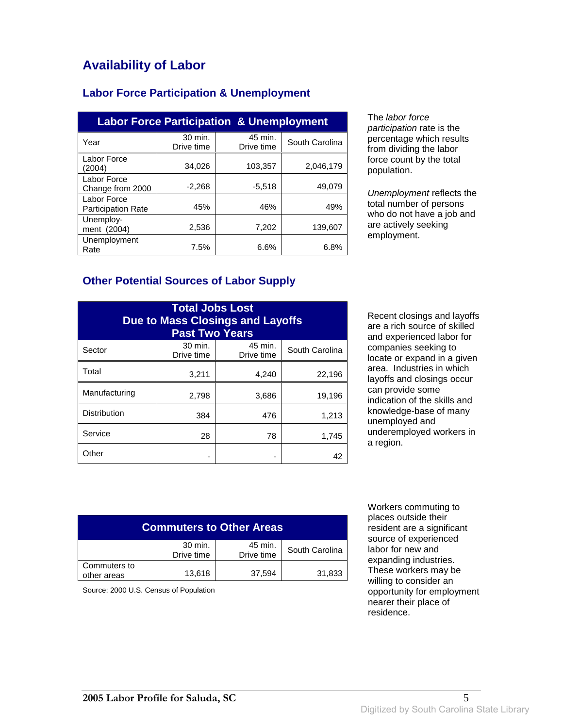#### **Labor Force Participation & Unemployment**

| <b>Labor Force Participation &amp; Unemployment</b> |                       |                       |                |  |
|-----------------------------------------------------|-----------------------|-----------------------|----------------|--|
| Year                                                | 30 min.<br>Drive time | 45 min.<br>Drive time | South Carolina |  |
| Labor Force<br>(2004)                               | 34.026                | 103,357               | 2,046,179      |  |
| Labor Force<br>Change from 2000                     | $-2,268$              | $-5,518$              | 49,079         |  |
| Labor Force<br><b>Participation Rate</b>            | 45%                   | 46%                   | 49%            |  |
| Unemploy-<br>ment (2004)                            | 2,536                 | 7,202                 | 139.607        |  |
| Unemployment<br>Rate                                | 7.5%                  | 6.6%                  | 6.8%           |  |

The labor force participation rate is the percentage which results from dividing the labor force count by the total population.

Unemployment reflects the total number of persons who do not have a job and are actively seeking employment.

#### **Other Potential Sources of Labor Supply**

| <b>Total Jobs Lost</b><br><b>Due to Mass Closings and Layoffs</b><br><b>Past Two Years</b> |                       |                       |                |
|--------------------------------------------------------------------------------------------|-----------------------|-----------------------|----------------|
| Sector                                                                                     | 30 min.<br>Drive time | 45 min.<br>Drive time | South Carolina |
| Total                                                                                      | 3,211                 | 4,240                 | 22,196         |
| Manufacturing                                                                              | 2,798                 | 3,686                 | 19,196         |
| <b>Distribution</b>                                                                        | 384                   | 476                   | 1,213          |
| Service                                                                                    | 28                    | 78                    | 1,745          |
| Other                                                                                      |                       |                       | 42             |

Recent closings and layoffs are a rich source of skilled and experienced labor for companies seeking to locate or expand in a given area. Industries in which layoffs and closings occur can provide some indication of the skills and knowledge-base of many unemployed and underemployed workers in a region.

| <b>Commuters to Other Areas</b>                                  |        |        |        |
|------------------------------------------------------------------|--------|--------|--------|
| 30 min.<br>45 min.<br>South Carolina<br>Drive time<br>Drive time |        |        |        |
| Commuters to<br>other areas                                      | 13,618 | 37,594 | 31,833 |

Source: 2000 U.S. Census of Population

 Workers commuting to places outside their resident are a significant source of experienced labor for new and expanding industries. These workers may be willing to consider an opportunity for employment nearer their place of residence.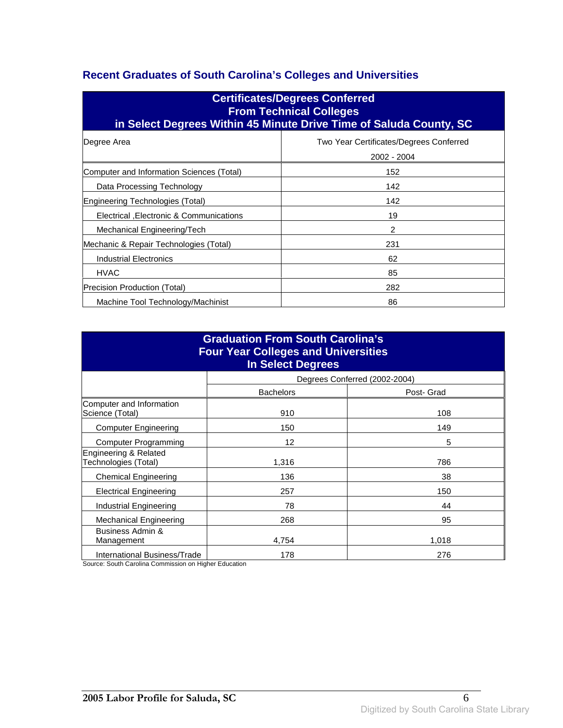### **Recent Graduates of South Carolina's Colleges and Universities**

| <b>Certificates/Degrees Conferred</b><br><b>From Technical Colleges</b><br>in Select Degrees Within 45 Minute Drive Time of Saluda County, SC |                                                        |  |  |
|-----------------------------------------------------------------------------------------------------------------------------------------------|--------------------------------------------------------|--|--|
| Degree Area                                                                                                                                   | Two Year Certificates/Degrees Conferred<br>2002 - 2004 |  |  |
| Computer and Information Sciences (Total)                                                                                                     | 152                                                    |  |  |
| Data Processing Technology                                                                                                                    | 142                                                    |  |  |
| Engineering Technologies (Total)                                                                                                              | 142                                                    |  |  |
| Electrical , Electronic & Communications                                                                                                      | 19                                                     |  |  |
| Mechanical Engineering/Tech                                                                                                                   | 2                                                      |  |  |
| Mechanic & Repair Technologies (Total)                                                                                                        | 231                                                    |  |  |
| Industrial Electronics                                                                                                                        | 62                                                     |  |  |
| <b>HVAC</b>                                                                                                                                   | 85                                                     |  |  |
| Precision Production (Total)                                                                                                                  | 282                                                    |  |  |
| Machine Tool Technology/Machinist                                                                                                             | 86                                                     |  |  |

| <b>Graduation From South Carolina's</b><br><b>Four Year Colleges and Universities</b><br><b>In Select Degrees</b> |                  |                               |  |
|-------------------------------------------------------------------------------------------------------------------|------------------|-------------------------------|--|
|                                                                                                                   |                  | Degrees Conferred (2002-2004) |  |
|                                                                                                                   | <b>Bachelors</b> | Post- Grad                    |  |
| Computer and Information<br>Science (Total)                                                                       | 910              | 108                           |  |
| <b>Computer Engineering</b>                                                                                       | 150              | 149                           |  |
| <b>Computer Programming</b>                                                                                       | 12               | 5                             |  |
| Engineering & Related<br>Technologies (Total)                                                                     | 1,316            | 786                           |  |
| <b>Chemical Engineering</b>                                                                                       | 136              | 38                            |  |
| <b>Electrical Engineering</b>                                                                                     | 257              | 150                           |  |
| Industrial Engineering                                                                                            | 78               | 44                            |  |
| <b>Mechanical Engineering</b>                                                                                     | 268              | 95                            |  |
| Business Admin &<br>Management                                                                                    | 4,754            | 1,018                         |  |
| International Business/Trade                                                                                      | 178              | 276                           |  |

Source: South Carolina Commission on Higher Education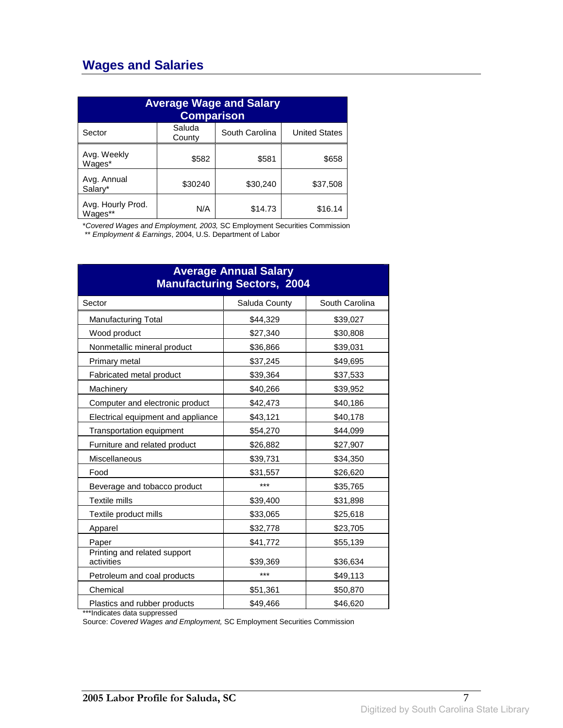## **Wages and Salaries**

| <b>Average Wage and Salary</b><br><b>Comparison</b> |                  |                |                      |
|-----------------------------------------------------|------------------|----------------|----------------------|
| Sector                                              | Saluda<br>County | South Carolina | <b>United States</b> |
| Avg. Weekly<br>Wages*                               | \$582            | \$581          | \$658                |
| Avg. Annual<br>Salary*                              | \$30240          | \$30,240       | \$37,508             |
| Avg. Hourly Prod.<br>Wages**                        | N/A              | \$14.73        | \$16.14              |

\*Covered Wages and Employment, 2003, SC Employment Securities Commission

\*\* Employment & Earnings, 2004, U.S. Department of Labor

| <b>Average Annual Salary</b><br><b>Manufacturing Sectors, 2004</b> |               |                |  |
|--------------------------------------------------------------------|---------------|----------------|--|
| Sector                                                             | Saluda County | South Carolina |  |
| <b>Manufacturing Total</b>                                         | \$44,329      | \$39,027       |  |
| Wood product                                                       | \$27,340      | \$30,808       |  |
| Nonmetallic mineral product                                        | \$36,866      | \$39,031       |  |
| Primary metal                                                      | \$37,245      | \$49,695       |  |
| <b>Fabricated metal product</b>                                    | \$39,364      | \$37,533       |  |
| Machinery                                                          | \$40,266      | \$39,952       |  |
| Computer and electronic product                                    | \$42,473      | \$40,186       |  |
| Electrical equipment and appliance                                 | \$43,121      | \$40,178       |  |
| Transportation equipment                                           | \$54,270      | \$44,099       |  |
| Furniture and related product                                      | \$26,882      | \$27,907       |  |
| Miscellaneous                                                      | \$39,731      | \$34,350       |  |
| Food                                                               | \$31,557      | \$26,620       |  |
| Beverage and tobacco product                                       | ***           | \$35,765       |  |
| Textile mills                                                      | \$39,400      | \$31,898       |  |
| Textile product mills                                              | \$33,065      | \$25,618       |  |
| Apparel                                                            | \$32,778      | \$23,705       |  |
| Paper                                                              | \$41,772      | \$55,139       |  |
| Printing and related support<br>activities                         | \$39,369      | \$36,634       |  |
| Petroleum and coal products                                        | ***           | \$49,113       |  |
| Chemical                                                           | \$51,361      | \$50,870       |  |
| Plastics and rubber products                                       | \$49,466      | \$46,620       |  |

\*\*\*Indicates data suppressed

Source: Covered Wages and Employment, SC Employment Securities Commission